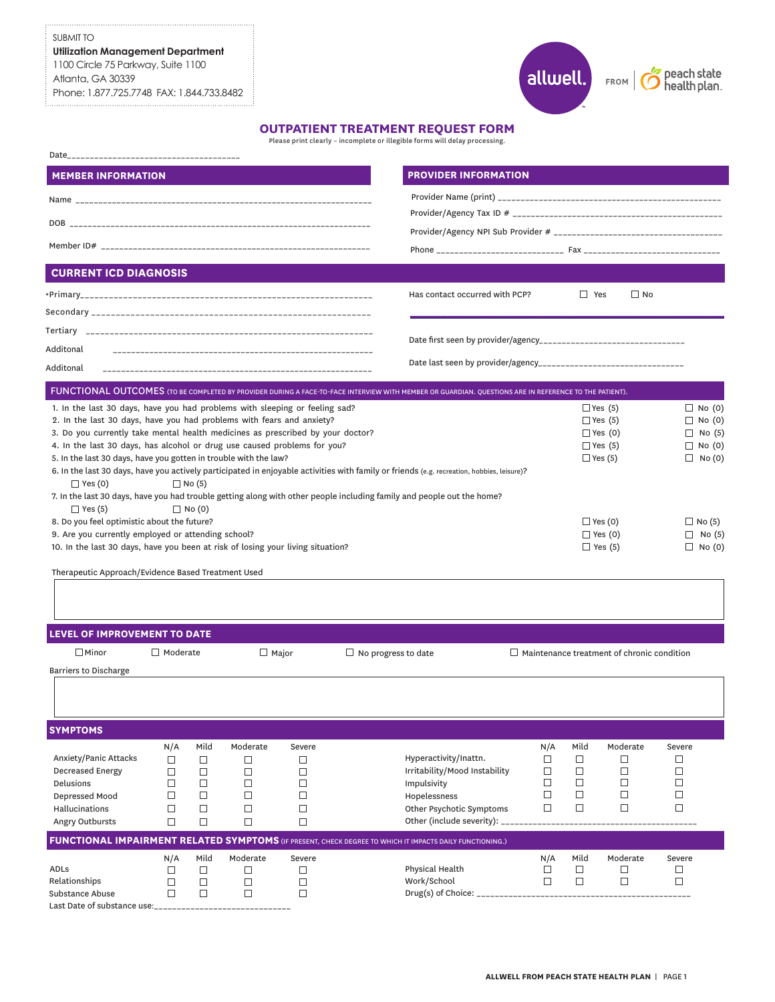## SUBMIT TO

**Utilization Management Department** 1100 Circle 75 Parkway, Suite 1100 Atlanta, GA 30339 Phone: 1.877.725.7748 FAX: 1.844.733.8482

# allwell.)  $FROM$

peach state<br>health plan.

## **OUTPATIENT TREATMENT REQUEST FORM**

Please print clearly – incomplete or illegible forms will delay processing.

| <b>MEMBER INFORMATION</b>                                                                                                             |                 |               |             |                                            |  | <b>PROVIDER INFORMATION</b>                                                                                                                           |               |                                                   |                                  |                                |  |
|---------------------------------------------------------------------------------------------------------------------------------------|-----------------|---------------|-------------|--------------------------------------------|--|-------------------------------------------------------------------------------------------------------------------------------------------------------|---------------|---------------------------------------------------|----------------------------------|--------------------------------|--|
|                                                                                                                                       |                 |               |             |                                            |  |                                                                                                                                                       |               |                                                   |                                  |                                |  |
|                                                                                                                                       |                 |               |             |                                            |  |                                                                                                                                                       |               |                                                   |                                  |                                |  |
|                                                                                                                                       |                 |               |             |                                            |  |                                                                                                                                                       |               |                                                   |                                  |                                |  |
|                                                                                                                                       |                 |               |             |                                            |  |                                                                                                                                                       |               |                                                   |                                  |                                |  |
| <b>CURRENT ICD DIAGNOSIS</b>                                                                                                          |                 |               |             |                                            |  |                                                                                                                                                       |               |                                                   |                                  |                                |  |
|                                                                                                                                       |                 |               |             |                                            |  | Has contact occurred with PCP?                                                                                                                        |               | $\Box$ Yes                                        | $\square$ No                     |                                |  |
|                                                                                                                                       |                 |               |             |                                            |  |                                                                                                                                                       |               |                                                   |                                  |                                |  |
|                                                                                                                                       |                 |               |             |                                            |  |                                                                                                                                                       |               |                                                   |                                  |                                |  |
| Additonal                                                                                                                             |                 |               |             |                                            |  |                                                                                                                                                       |               |                                                   |                                  |                                |  |
| Additonal                                                                                                                             |                 |               |             |                                            |  |                                                                                                                                                       |               |                                                   |                                  |                                |  |
|                                                                                                                                       |                 |               |             |                                            |  | FUNCTIONAL OUTCOMES (TO BE COMPLETED BY PROVIDER DURING A FACE-TO-FACE INTERVIEW WITH MEMBER OR GUARDIAN. QUESTIONS ARE IN REFERENCE TO THE PATIENT). |               |                                                   |                                  |                                |  |
| 1. In the last 30 days, have you had problems with sleeping or feeling sad?                                                           |                 |               |             |                                            |  |                                                                                                                                                       |               |                                                   | $\Box$ Yes (5)                   | $\Box$ No (0)                  |  |
| 2. In the last 30 days, have you had problems with fears and anxiety?                                                                 |                 |               |             | $\Box$ Yes (5)                             |  |                                                                                                                                                       | $\Box$ No (0) |                                                   |                                  |                                |  |
| 3. Do you currently take mental health medicines as prescribed by your doctor?                                                        |                 |               |             |                                            |  |                                                                                                                                                       |               |                                                   | $\Box$ Yes (0)                   | $\Box$ No (5)                  |  |
| 4. In the last 30 days, has alcohol or drug use caused problems for you?                                                              |                 |               |             |                                            |  |                                                                                                                                                       |               |                                                   | $\Box$ Yes (5)                   | $\Box$ No (0)                  |  |
| 5. In the last 30 days, have you gotten in trouble with the law?                                                                      |                 |               |             |                                            |  | 6. In the last 30 days, have you actively participated in enjoyable activities with family or friends (e.g. recreation, hobbies, leisure)?            |               |                                                   | $\Box$ Yes (5)                   | $\Box$ No (0)                  |  |
| $\Box$ Yes (0)                                                                                                                        |                 | $\Box$ No (5) |             |                                            |  |                                                                                                                                                       |               |                                                   |                                  |                                |  |
|                                                                                                                                       |                 |               |             |                                            |  | 7. In the last 30 days, have you had trouble getting along with other people including family and people out the home?                                |               |                                                   |                                  |                                |  |
| $\Box$ Yes (5)                                                                                                                        |                 | $\Box$ No (0) |             |                                            |  |                                                                                                                                                       |               |                                                   |                                  |                                |  |
| 8. Do you feel optimistic about the future?                                                                                           |                 |               |             |                                            |  |                                                                                                                                                       |               |                                                   | $\Box$ Yes (0)                   | $\Box$ No (5)                  |  |
| 9. Are you currently employed or attending school?<br>10. In the last 30 days, have you been at risk of losing your living situation? |                 |               |             |                                            |  |                                                                                                                                                       |               |                                                   | $\Box$ Yes (0)<br>$\Box$ Yes (5) | $\Box$ No (5)<br>$\Box$ No (0) |  |
|                                                                                                                                       |                 |               |             |                                            |  |                                                                                                                                                       |               |                                                   |                                  |                                |  |
| Therapeutic Approach/Evidence Based Treatment Used                                                                                    |                 |               |             |                                            |  |                                                                                                                                                       |               |                                                   |                                  |                                |  |
|                                                                                                                                       |                 |               |             |                                            |  |                                                                                                                                                       |               |                                                   |                                  |                                |  |
|                                                                                                                                       |                 |               |             |                                            |  |                                                                                                                                                       |               |                                                   |                                  |                                |  |
| <b>LEVEL OF IMPROVEMENT TO DATE</b>                                                                                                   |                 |               |             |                                            |  |                                                                                                                                                       |               |                                                   |                                  |                                |  |
| $\square$ Minor                                                                                                                       | $\Box$ Moderate |               |             | $\Box$ Major<br>$\Box$ No progress to date |  |                                                                                                                                                       |               | $\Box$ Maintenance treatment of chronic condition |                                  |                                |  |
| <b>Barriers to Discharge</b>                                                                                                          |                 |               |             |                                            |  |                                                                                                                                                       |               |                                                   |                                  |                                |  |
|                                                                                                                                       |                 |               |             |                                            |  |                                                                                                                                                       |               |                                                   |                                  |                                |  |
|                                                                                                                                       |                 |               |             |                                            |  |                                                                                                                                                       |               |                                                   |                                  |                                |  |
| <b>SYMPTOMS</b>                                                                                                                       |                 |               |             |                                            |  |                                                                                                                                                       |               |                                                   |                                  |                                |  |
|                                                                                                                                       | N/A             | Mild          | Moderate    | Severe                                     |  |                                                                                                                                                       | N/A           | Mild                                              | Moderate                         | Severe                         |  |
| Anxiety/Panic Attacks                                                                                                                 | $\Box$          | $\Box$        | □           | □                                          |  | Hyperactivity/Inattn.                                                                                                                                 | □             | □                                                 | □                                | □                              |  |
| <b>Decreased Energy</b><br>Delusions                                                                                                  | □<br>□          | □<br>□        | □<br>$\Box$ | $\Box$<br>$\Box$                           |  | Irritability/Mood Instability<br>Impulsivity                                                                                                          | □<br>□        | $\Box$<br>$\Box$                                  | $\Box$<br>□                      | □<br>$\Box$                    |  |
| Depressed Mood                                                                                                                        | $\Box$          | □             | $\Box$      | □                                          |  | Hopelessness                                                                                                                                          | □             | $\Box$                                            | □                                | $\Box$                         |  |
| Hallucinations                                                                                                                        | $\Box$          | □             | $\Box$      | $\Box$                                     |  | Other Psychotic Symptoms                                                                                                                              | $\Box$        | $\Box$                                            | $\Box$                           | $\Box$                         |  |
| Angry Outbursts                                                                                                                       | □               | □             | $\Box$      | □                                          |  | Other (include severity): _____________                                                                                                               |               |                                                   |                                  |                                |  |
|                                                                                                                                       |                 |               |             |                                            |  | <b>FUNCTIONAL IMPAIRMENT RELATED SYMPTOMS</b> (IF PRESENT, CHECK DEGREE TO WHICH IT IMPACTS DAILY FUNCTIONING.)                                       |               |                                                   |                                  |                                |  |
|                                                                                                                                       | N/A             | Mild          | Moderate    | Severe                                     |  |                                                                                                                                                       | N/A           | Mild                                              | Moderate                         | Severe                         |  |
| ADLs                                                                                                                                  | $\Box$          | □             | $\Box$      | $\Box$                                     |  | Physical Health                                                                                                                                       | $\Box$        | $\Box$                                            | $\Box$                           | □                              |  |
| Relationships<br>Substance Abuse                                                                                                      | □<br>□          | □<br>□        | $\Box$<br>□ | $\Box$<br>$\Box$                           |  | Work/School<br>Drug(s) of Choice: ____________________                                                                                                | $\Box$        | $\Box$                                            | $\Box$                           | $\Box$                         |  |
| Last Date of substance use:_____________                                                                                              |                 |               |             |                                            |  |                                                                                                                                                       |               |                                                   | --------------                   |                                |  |